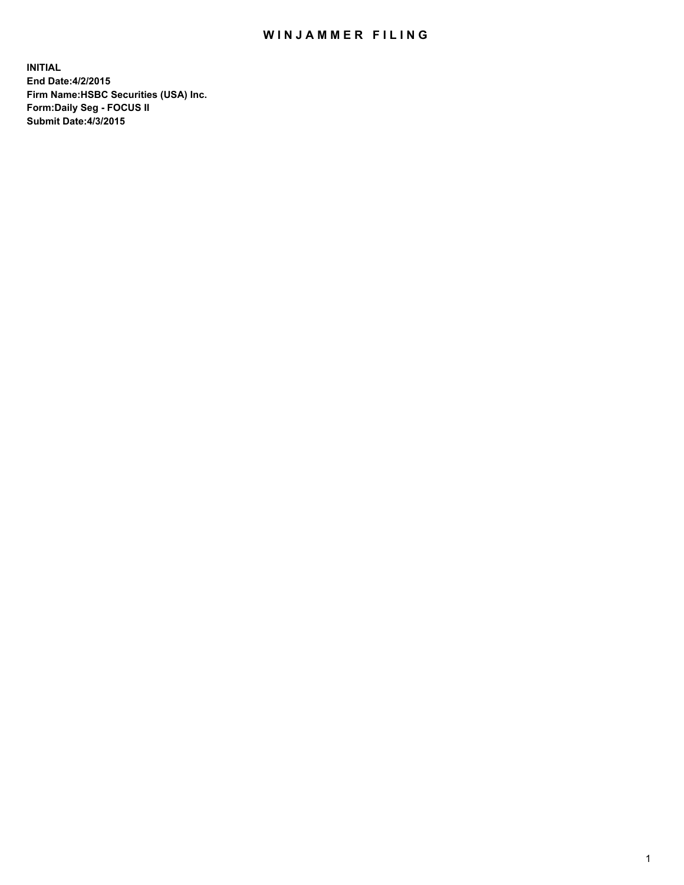## WIN JAMMER FILING

**INITIAL End Date:4/2/2015 Firm Name:HSBC Securities (USA) Inc. Form:Daily Seg - FOCUS II Submit Date:4/3/2015**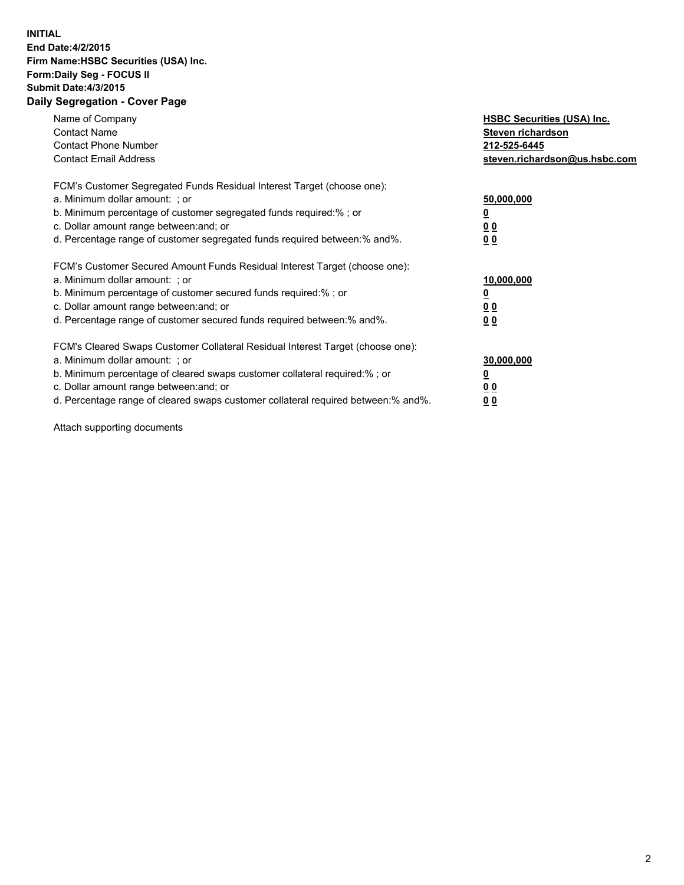## **INITIAL End Date:4/2/2015 Firm Name:HSBC Securities (USA) Inc. Form:Daily Seg - FOCUS II Submit Date:4/3/2015 Daily Segregation - Cover Page**

| Name of Company<br><b>Contact Name</b><br><b>Contact Phone Number</b><br><b>Contact Email Address</b>                                                                                                                                                                                                                         | <b>HSBC Securities (USA) Inc.</b><br>Steven richardson<br>212-525-6445<br>steven.richardson@us.hsbc.com |
|-------------------------------------------------------------------------------------------------------------------------------------------------------------------------------------------------------------------------------------------------------------------------------------------------------------------------------|---------------------------------------------------------------------------------------------------------|
| FCM's Customer Segregated Funds Residual Interest Target (choose one):<br>a. Minimum dollar amount: ; or<br>b. Minimum percentage of customer segregated funds required:% ; or<br>c. Dollar amount range between: and; or<br>d. Percentage range of customer segregated funds required between: % and %.                      | 50,000,000<br>0 <sub>0</sub><br>00                                                                      |
| FCM's Customer Secured Amount Funds Residual Interest Target (choose one):<br>a. Minimum dollar amount: ; or<br>b. Minimum percentage of customer secured funds required:%; or<br>c. Dollar amount range between: and; or<br>d. Percentage range of customer secured funds required between: % and %.                         | 10,000,000<br>00<br>00                                                                                  |
| FCM's Cleared Swaps Customer Collateral Residual Interest Target (choose one):<br>a. Minimum dollar amount: ; or<br>b. Minimum percentage of cleared swaps customer collateral required:%; or<br>c. Dollar amount range between: and; or<br>d. Percentage range of cleared swaps customer collateral required between:% and%. | 30,000,000<br>0 <sub>0</sub><br>00                                                                      |

Attach supporting documents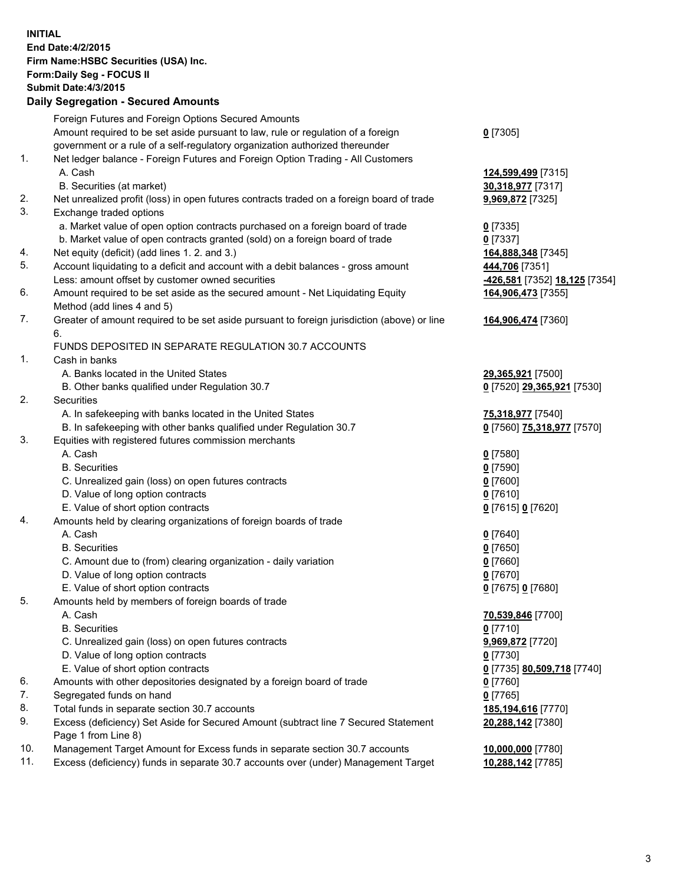**INITIAL End Date:4/2/2015 Firm Name:HSBC Securities (USA) Inc. Form:Daily Seg - FOCUS II Submit Date:4/3/2015 Daily Segregation - Secured Amounts** Foreign Futures and Foreign Options Secured Amounts Amount required to be set aside pursuant to law, rule or regulation of a foreign government or a rule of a self-regulatory organization authorized thereunder **0** [7305] 1. Net ledger balance - Foreign Futures and Foreign Option Trading - All Customers A. Cash **124,599,499** [7315] B. Securities (at market) **30,318,977** [7317] 2. Net unrealized profit (loss) in open futures contracts traded on a foreign board of trade **9,969,872** [7325] 3. Exchange traded options a. Market value of open option contracts purchased on a foreign board of trade **0** [7335] b. Market value of open contracts granted (sold) on a foreign board of trade **0** [7337] 4. Net equity (deficit) (add lines 1. 2. and 3.) **164,888,348** [7345] 5. Account liquidating to a deficit and account with a debit balances - gross amount **444,706** [7351] Less: amount offset by customer owned securities **-426,581** [7352] **18,125** [7354] 6. Amount required to be set aside as the secured amount - Net Liquidating Equity Method (add lines 4 and 5) **164,906,473** [7355] 7. Greater of amount required to be set aside pursuant to foreign jurisdiction (above) or line 6. **164,906,474** [7360] FUNDS DEPOSITED IN SEPARATE REGULATION 30.7 ACCOUNTS 1. Cash in banks A. Banks located in the United States **29,365,921** [7500] B. Other banks qualified under Regulation 30.7 **0** [7520] **29,365,921** [7530] 2. Securities A. In safekeeping with banks located in the United States **75,318,977** [7540] B. In safekeeping with other banks qualified under Regulation 30.7 **0** [7560] **75,318,977** [7570] 3. Equities with registered futures commission merchants A. Cash **0** [7580] B. Securities **0** [7590] C. Unrealized gain (loss) on open futures contracts **0** [7600] D. Value of long option contracts **0** [7610] E. Value of short option contracts **0** [7615] **0** [7620] 4. Amounts held by clearing organizations of foreign boards of trade A. Cash **0** [7640] B. Securities **0** [7650] C. Amount due to (from) clearing organization - daily variation **0** [7660] D. Value of long option contracts **0** [7670] E. Value of short option contracts **0** [7675] **0** [7680] 5. Amounts held by members of foreign boards of trade A. Cash **70,539,846** [7700] B. Securities **0** [7710] C. Unrealized gain (loss) on open futures contracts **9,969,872** [7720] D. Value of long option contracts **0** [7730] E. Value of short option contracts **0** [7735] **80,509,718** [7740] 6. Amounts with other depositories designated by a foreign board of trade **0** [7760] 7. Segregated funds on hand **0** [7765] 8. Total funds in separate section 30.7 accounts **185,194,616** [7770] 9. Excess (deficiency) Set Aside for Secured Amount (subtract line 7 Secured Statement Page 1 from Line 8) **20,288,142** [7380] 10. Management Target Amount for Excess funds in separate section 30.7 accounts **10,000,000** [7780]

11. Excess (deficiency) funds in separate 30.7 accounts over (under) Management Target **10,288,142** [7785]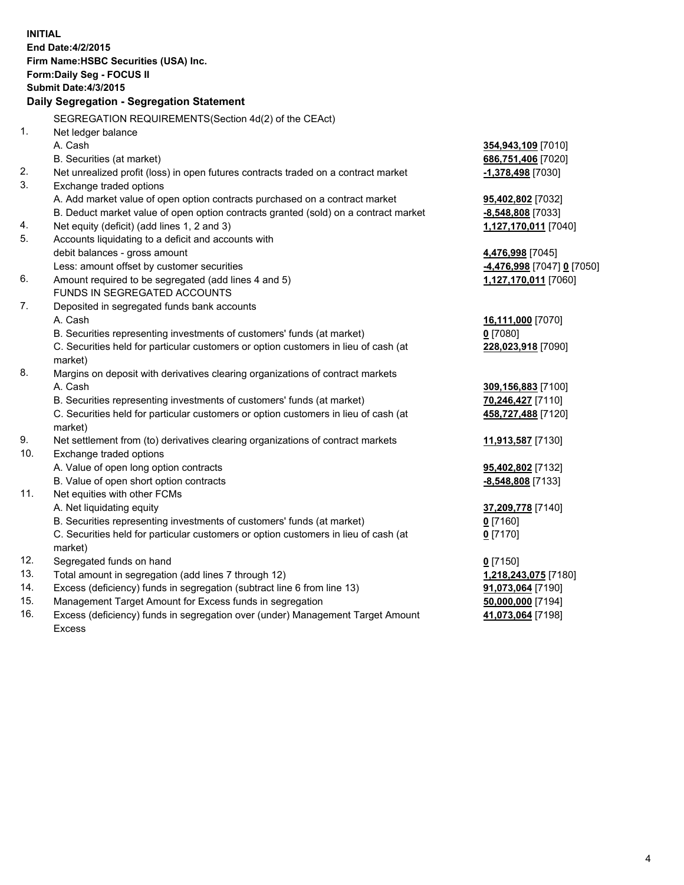| <b>INITIAL</b> | End Date: 4/2/2015<br>Firm Name: HSBC Securities (USA) Inc.<br>Form: Daily Seg - FOCUS II<br><b>Submit Date:4/3/2015</b><br><b>Daily Segregation - Segregation Statement</b> |                            |
|----------------|------------------------------------------------------------------------------------------------------------------------------------------------------------------------------|----------------------------|
|                | SEGREGATION REQUIREMENTS(Section 4d(2) of the CEAct)                                                                                                                         |                            |
| 1.             | Net ledger balance<br>A. Cash                                                                                                                                                | 354,943,109 [7010]         |
|                | B. Securities (at market)                                                                                                                                                    | 686,751,406 [7020]         |
| 2.             | Net unrealized profit (loss) in open futures contracts traded on a contract market                                                                                           | -1,378,498 [7030]          |
| 3.             | Exchange traded options                                                                                                                                                      |                            |
|                | A. Add market value of open option contracts purchased on a contract market                                                                                                  | 95,402,802 [7032]          |
|                | B. Deduct market value of open option contracts granted (sold) on a contract market                                                                                          | -8,548,808 [7033]          |
| 4.             | Net equity (deficit) (add lines 1, 2 and 3)                                                                                                                                  | 1,127,170,011 [7040]       |
| 5.             | Accounts liquidating to a deficit and accounts with                                                                                                                          |                            |
|                | debit balances - gross amount                                                                                                                                                | 4,476,998 [7045]           |
|                | Less: amount offset by customer securities                                                                                                                                   | -4,476,998 [7047] 0 [7050] |
| 6.             | Amount required to be segregated (add lines 4 and 5)                                                                                                                         | 1,127,170,011 [7060]       |
|                | FUNDS IN SEGREGATED ACCOUNTS                                                                                                                                                 |                            |
| 7.             | Deposited in segregated funds bank accounts                                                                                                                                  |                            |
|                | A. Cash                                                                                                                                                                      | 16,111,000 [7070]          |
|                | B. Securities representing investments of customers' funds (at market)                                                                                                       | $0$ [7080]                 |
|                | C. Securities held for particular customers or option customers in lieu of cash (at<br>market)                                                                               | 228,023,918 [7090]         |
| 8.             | Margins on deposit with derivatives clearing organizations of contract markets                                                                                               |                            |
|                | A. Cash                                                                                                                                                                      | 309,156,883 [7100]         |
|                | B. Securities representing investments of customers' funds (at market)                                                                                                       | 70,246,427 [7110]          |
|                | C. Securities held for particular customers or option customers in lieu of cash (at<br>market)                                                                               | 458,727,488 [7120]         |
| 9.             | Net settlement from (to) derivatives clearing organizations of contract markets                                                                                              | 11,913,587 [7130]          |
| 10.            | Exchange traded options                                                                                                                                                      |                            |
|                | A. Value of open long option contracts                                                                                                                                       | 95,402,802 [7132]          |
|                | B. Value of open short option contracts                                                                                                                                      | -8,548,808 [7133]          |
| 11.            | Net equities with other FCMs                                                                                                                                                 |                            |
|                | A. Net liquidating equity                                                                                                                                                    | 37,209,778 [7140]          |
|                | B. Securities representing investments of customers' funds (at market)                                                                                                       | $0$ [7160]                 |
|                | C. Securities held for particular customers or option customers in lieu of cash (at<br>market)                                                                               | $0$ [7170]                 |
| 12.            | Segregated funds on hand                                                                                                                                                     | $0$ [7150]                 |
| 13.            | Total amount in segregation (add lines 7 through 12)                                                                                                                         | 1,218,243,075 [7180]       |
| 14.            | Excess (deficiency) funds in segregation (subtract line 6 from line 13)                                                                                                      | 91,073,064 [7190]          |
| 15.            | Management Target Amount for Excess funds in segregation                                                                                                                     | 50,000,000 [7194]          |
| 16.            | Excess (deficiency) funds in segregation over (under) Management Target Amount<br><b>Excess</b>                                                                              | 41,073,064 [7198]          |